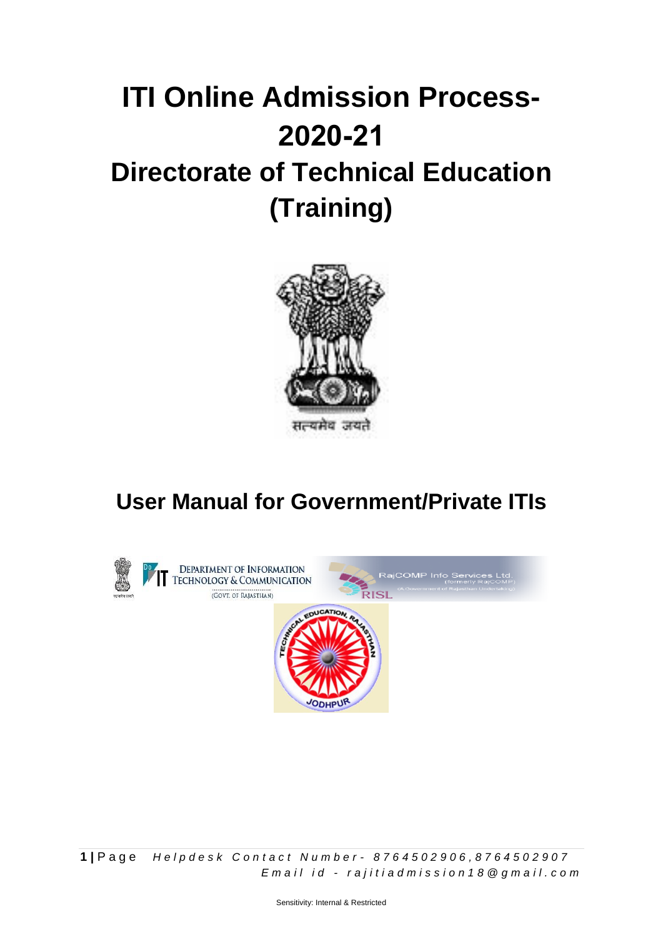## **Directorate of Technical Education (Training) ITI Online Admission Process-2020-21**



## **User Manual for Government/Private ITIs**



**1 |** P a g e *H e l p d e s k C o n t a c t N u m b e r - 8 7 6 4 5 0 2 9 0 6 , 8 7 6 4 5 0 2 9 0 7 E m a i l i d - r a j i t i a d m i s s i o n 1 8 @ g m a i l . c o m*

Sensitivity: Internal & Restricted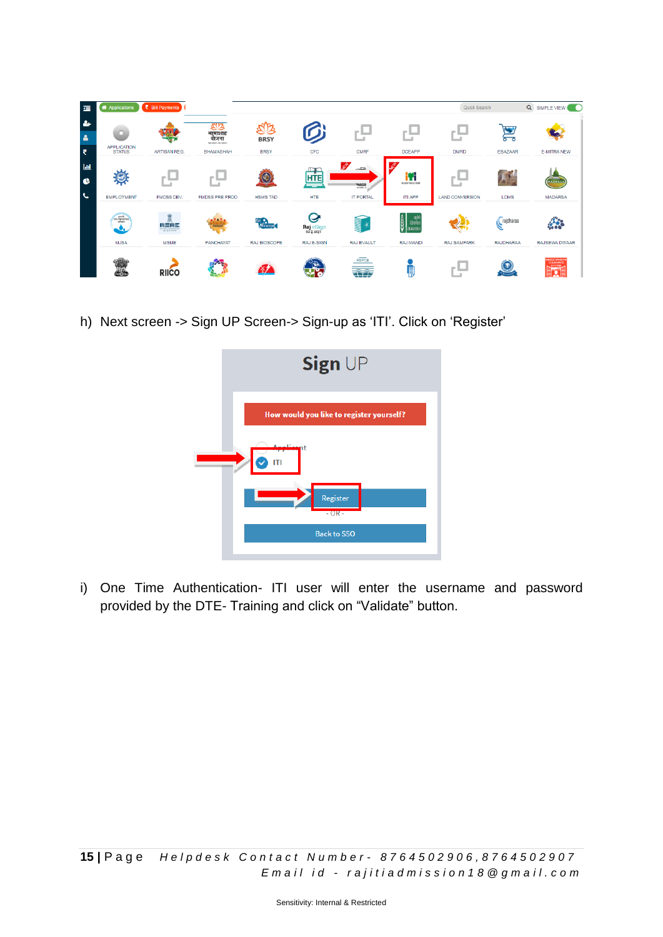| 震                     | <b>A</b> Applications        | ₹ Bill Payments                                             |                                                     |                     |                               |                                                                                                                                                                                                                                                                                                                                                                         |                                    | Quick Search           |                  | Q SIMPLE VIEW O                                                  |
|-----------------------|------------------------------|-------------------------------------------------------------|-----------------------------------------------------|---------------------|-------------------------------|-------------------------------------------------------------------------------------------------------------------------------------------------------------------------------------------------------------------------------------------------------------------------------------------------------------------------------------------------------------------------|------------------------------------|------------------------|------------------|------------------------------------------------------------------|
| $\bullet$<br>$\Delta$ |                              |                                                             | 8B<br>भा़माशाह<br>योजना<br>hills subscribed advance | JB<br><b>BRSY</b>   | Ø                             |                                                                                                                                                                                                                                                                                                                                                                         |                                    | $\sim$                 |                  |                                                                  |
| ₹                     | APPLICATION<br>STATUS        | <b>ARTISAN REG.</b>                                         | <b>BHAMASHAH</b>                                    | <b>BRSY</b>         | <b>CFC</b>                    | <b>CMRF</b>                                                                                                                                                                                                                                                                                                                                                             | <b>DCEAPP</b>                      | <b>DMRD</b>            | EBAZAAR          | <b>E-MITRA NEW</b>                                               |
| $l$<br>$\bullet$      | $\Theta$                     |                                                             |                                                     | C                   | $\mathbf{1}$<br><b>HTE</b>    | <b>SER</b><br>latin.<br>$\frac{\sum_{i=1}^{n} \sum_{j=1}^{n} \sum_{j=1}^{n} \sum_{j=1}^{n} \sum_{j=1}^{n} \sum_{j=1}^{n} \sum_{j=1}^{n} \sum_{j=1}^{n} \sum_{j=1}^{n} \sum_{j=1}^{n} \sum_{j=1}^{n} \sum_{j=1}^{n} \sum_{j=1}^{n} \sum_{j=1}^{n} \sum_{j=1}^{n} \sum_{j=1}^{n} \sum_{j=1}^{n} \sum_{j=1}^{n} \sum_{j=1}^{n} \sum_{j=1}^{n} \sum_{j=1}^{n} \sum_{j=1}^{$ | Ш<br>Incustrial Training Institute |                        |                  | <b>MADARSA</b>                                                   |
| $\epsilon$            | <b>EMPLOYMENT</b>            | <b>FMDSS DEV.</b>                                           | <b>FMDSS PRE PROD</b>                               | <b>HSMS TAD</b>     | <b>HTE</b>                    | <b>IT PORTAL</b>                                                                                                                                                                                                                                                                                                                                                        | <b>ITI APP</b>                     | <b>LAND CONVERSION</b> | <b>LDMS</b>      | <b>MADARSA</b>                                                   |
|                       | जन सुबन्नामन<br>जन सुबन्नामन | 鱼<br>川三川三<br><b>BOO MALLAND ANNUAL</b><br>for of or east my |                                                     | Bioscope            | Ø<br>Raj eSign<br>राज है-साइन | <u>uuu</u><br>$\rightarrow$                                                                                                                                                                                                                                                                                                                                             | ģ <br>भुक<br>जण्णी<br>सिजस्था      |                        | rajdharaa        | <b>ARCHITECT</b>                                                 |
|                       | <b>MJSA</b>                  | <b>MSME</b>                                                 | PANCHAYAT                                           | <b>RAJ BIOSCOPE</b> | <b>RAJ E-SIGN</b>             | RAJ EVAULT                                                                                                                                                                                                                                                                                                                                                              | RAJ MANDI                          | <b>RAJ SAMPARK</b>     | <b>RAJDHARAA</b> | RAJSEWA DWAAR                                                    |
|                       | <b>MA</b>                    | <b>RIICO</b>                                                |                                                     |                     |                               | <b>RSPCB</b><br>$\overline{\phantom{a}}$                                                                                                                                                                                                                                                                                                                                | Į                                  | $\frac{1}{2}$<br>۰.    | 毒                | INGLE WINDOW<br>CLEARANCE<br>SYSTEM.<br><sup></sup> . 1<br>H.A.H |

h) Next screen -> Sign UP Screen-> Sign-up as 'ITI'. Click on 'Register'



i) One Time Authentication- ITI user will enter the username and password provided by the DTE- Training and click on "Validate" button.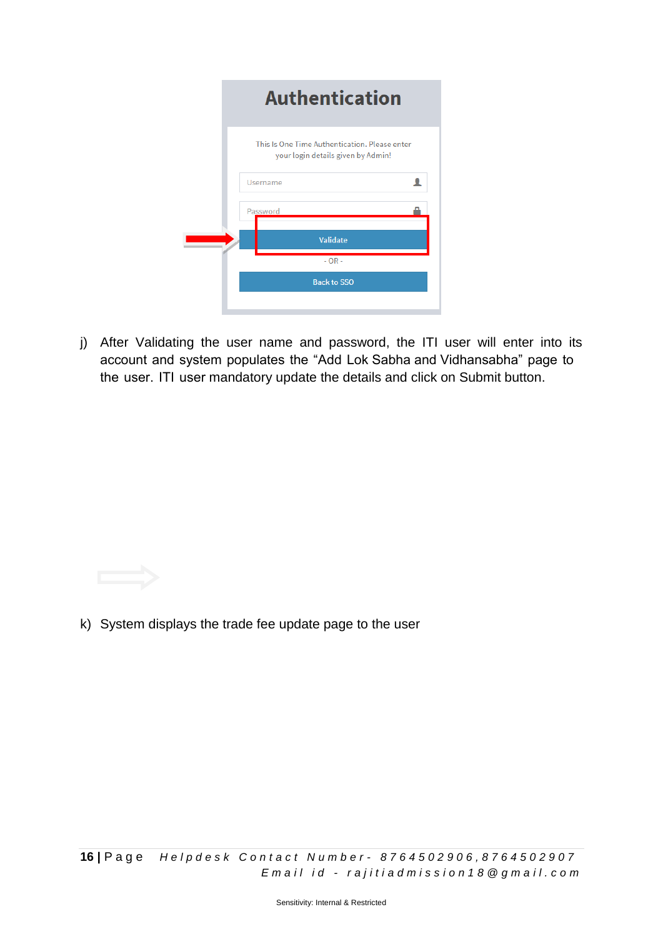| <b>Authentication</b>                                                               |  |
|-------------------------------------------------------------------------------------|--|
| This Is One Time Authentication. Please enter<br>your login details given by Admin! |  |
| Username                                                                            |  |
| Password                                                                            |  |
| Validate                                                                            |  |
| $-OR -$                                                                             |  |
| <b>Back to SSO</b>                                                                  |  |
|                                                                                     |  |

j) After Validating the user name and password, the ITI user will enter into its account and system populates the "Add Lok Sabha and Vidhansabha" page to the user. ITI user mandatory update the details and click on Submit button.

k) System displays the trade fee update page to the user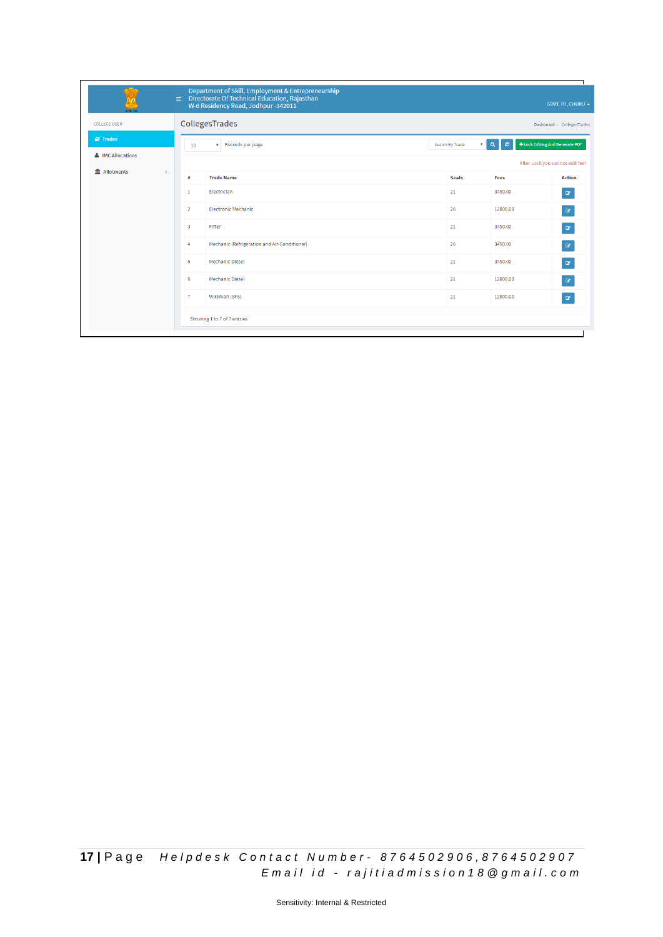|                        | $\equiv$     |                                              | Department of Skill, Employment & Entrepreneurship<br>Directorate Of Technical Education, Rajasthan<br>W-6 Residency Road, Jodhpur -342011 |                                                                        |          | <b>GOVT. ITI, CHURU -</b> |  |  |  |  |  |  |  |
|------------------------|--------------|----------------------------------------------|--------------------------------------------------------------------------------------------------------------------------------------------|------------------------------------------------------------------------|----------|---------------------------|--|--|--|--|--|--|--|
| <b>COLLEGE USER</b>    |              | CollegesTrades<br>Dashboard > CollegesTrades |                                                                                                                                            |                                                                        |          |                           |  |  |  |  |  |  |  |
| $\blacksquare$ Trades  |              | 10                                           | Records per page<br>$\overline{\mathbf{v}}$ .                                                                                              | + Lock Editing And Generate PDF<br>$\circ$<br>$\alpha$<br>$\mathbf{v}$ |          |                           |  |  |  |  |  |  |  |
| & IMC Allocations      |              | After Lock you cannot edit fee!              |                                                                                                                                            |                                                                        |          |                           |  |  |  |  |  |  |  |
| <b>m</b><br>Allotments | $\checkmark$ | #                                            | <b>Trade Name</b>                                                                                                                          | <b>Seats</b>                                                           | Fees     | <b>Action</b>             |  |  |  |  |  |  |  |
|                        |              | $\mathbf{1}$                                 | Electrician                                                                                                                                | 21                                                                     | 3450.00  | $\alpha$                  |  |  |  |  |  |  |  |
|                        |              | $\overline{2}$                               | <b>Electronic Mechanic</b>                                                                                                                 | 26                                                                     | 12000.00 | $\alpha$                  |  |  |  |  |  |  |  |
|                        |              | $\overline{\mathbf{3}}$                      | Fitter                                                                                                                                     | 21                                                                     | 3450.00  | $\alpha$                  |  |  |  |  |  |  |  |
|                        |              | $\overline{4}$                               | Mechanic (Refrigeration and Air-Conditioner)                                                                                               | 26                                                                     | 3450.00  | $\alpha$                  |  |  |  |  |  |  |  |
|                        |              | 5                                            | <b>Mechanic Diesel</b>                                                                                                                     | 21                                                                     | 3450.00  | $\alpha$                  |  |  |  |  |  |  |  |
|                        |              | 6                                            | <b>Mechanic Diesel</b>                                                                                                                     | 21                                                                     | 12000.00 | $\alpha$                  |  |  |  |  |  |  |  |
|                        |              | $\overline{7}$                               | Wireman (SFS)                                                                                                                              | 21                                                                     | 12000.00 | $\alpha$                  |  |  |  |  |  |  |  |
|                        |              |                                              | Showing 1 to 7 of 7 entries                                                                                                                |                                                                        |          |                           |  |  |  |  |  |  |  |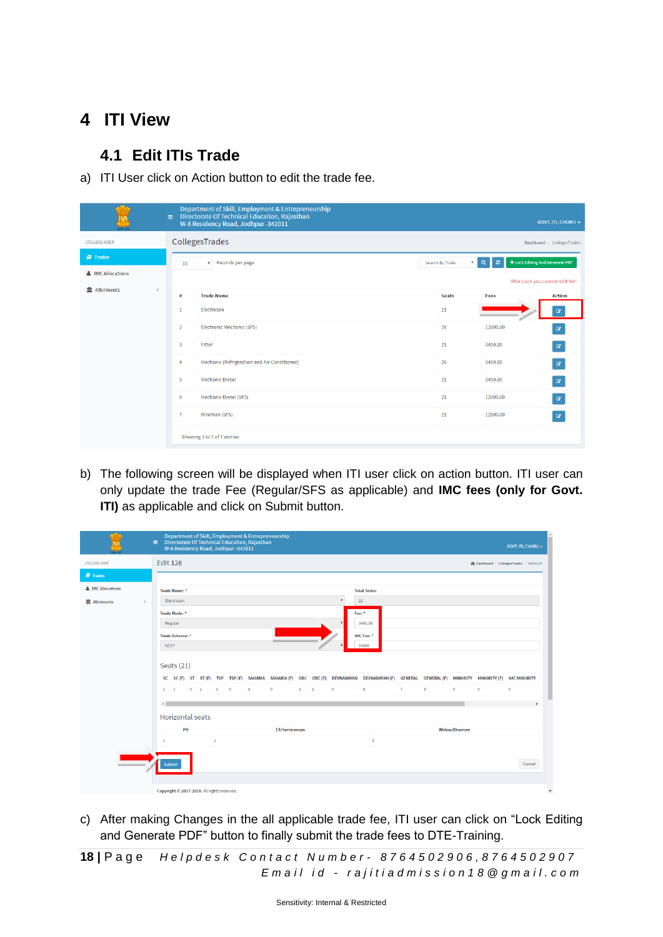## **4 ITI View**

## **4.1 Edit ITIs Trade**

a) ITI User click on Action button to edit the trade fee.

| Department of Skill, Employment & Entrepreneurship<br>Directorate Of Technical Education, Rajasthan<br>$\equiv$<br><b>GOVT. ITI, CHURU +</b><br>W-6 Residency Road, Jodhpur -342011 |                                              |                                              |                                                                                   |          |                               |  |  |  |  |  |  |  |  |
|-------------------------------------------------------------------------------------------------------------------------------------------------------------------------------------|----------------------------------------------|----------------------------------------------|-----------------------------------------------------------------------------------|----------|-------------------------------|--|--|--|--|--|--|--|--|
| <b>COLLEGE USER</b>                                                                                                                                                                 | CollegesTrades<br>Dashboard > CollegesTrades |                                              |                                                                                   |          |                               |  |  |  |  |  |  |  |  |
| $\blacksquare$ Trades                                                                                                                                                               | 10                                           | Records per page<br>$\overline{\mathbf{v}}$  | + Lock Editing And Generate PDF<br>$\circ$<br>$\alpha$<br>$\overline{\mathbf{v}}$ |          |                               |  |  |  |  |  |  |  |  |
| & IMC Allocations                                                                                                                                                                   |                                              | After Lock you cannot edit fee!              |                                                                                   |          |                               |  |  |  |  |  |  |  |  |
| <b>III</b> Allotments<br>$\epsilon$                                                                                                                                                 | #                                            | <b>Trade Name</b>                            | <b>Seats</b>                                                                      | Fees     | <b>Action</b>                 |  |  |  |  |  |  |  |  |
|                                                                                                                                                                                     | $\mathbf{1}$                                 | Electrician                                  | 21                                                                                |          | $\mathbf{z}$                  |  |  |  |  |  |  |  |  |
|                                                                                                                                                                                     | $\overline{2}$                               | Electronic Mechanic (SFS)                    | 26                                                                                | 12000.00 | $\mathbf{z}$                  |  |  |  |  |  |  |  |  |
|                                                                                                                                                                                     | 3                                            | Fitter                                       | 21                                                                                | 3450.00  | $\mathbf{G}$                  |  |  |  |  |  |  |  |  |
|                                                                                                                                                                                     | $\overline{4}$                               | Mechanic (Refrigeration and Air-Conditioner) | 26                                                                                | 3450.00  | $\alpha$                      |  |  |  |  |  |  |  |  |
|                                                                                                                                                                                     | 5                                            | <b>Mechanic Diesel</b>                       | 21                                                                                | 3450.00  | $\pmb{\alpha}$                |  |  |  |  |  |  |  |  |
|                                                                                                                                                                                     | 6                                            | Mechanic Diesel (SFS)                        | 21                                                                                | 12000.00 | $\textcolor{red}{\textbf{z}}$ |  |  |  |  |  |  |  |  |
|                                                                                                                                                                                     | $\mathbf{7}$                                 | Wireman (SFS)                                | 21                                                                                | 12000.00 | $\mathbf G$                   |  |  |  |  |  |  |  |  |
|                                                                                                                                                                                     |                                              | Showing 1 to 7 of 7 entries                  |                                                                                   |          |                               |  |  |  |  |  |  |  |  |

b) The following screen will be displayed when ITI user click on action button. ITI user can only update the trade Fee (Regular/SFS as applicable) and **IMC fees (only for Govt. ITI)** as applicable and click on Submit button.

|                        |                              |                                                                    |                         |  |                                             |             | W-6 Residency Road, Jodhpur -342011 | $\equiv$ Directorate Of Technical Education, Rajasthan | Department of Skill, Employment & Entrepreneurship |             |  |                           |                                                                                                                                                  |   |                         |         |           | GOVT. ITI, CHURU + |
|------------------------|------------------------------|--------------------------------------------------------------------|-------------------------|--|---------------------------------------------|-------------|-------------------------------------|--------------------------------------------------------|----------------------------------------------------|-------------|--|---------------------------|--------------------------------------------------------------------------------------------------------------------------------------------------|---|-------------------------|---------|-----------|--------------------|
| <b>COLLEGE USER</b>    |                              | <b>Edit 128</b><br><b>@</b> Dashboard > CollegesTrades > Edit #128 |                         |  |                                             |             |                                     |                                                        |                                                    |             |  |                           |                                                                                                                                                  |   |                         |         |           |                    |
| <b><i>a</i></b> Trades |                              |                                                                    |                         |  |                                             |             |                                     |                                                        |                                                    |             |  |                           |                                                                                                                                                  |   |                         |         |           |                    |
| & IMC Allocations      |                              | Trade Name: *<br><b>Total Seats:</b>                               |                         |  |                                             |             |                                     |                                                        |                                                    |             |  |                           |                                                                                                                                                  |   |                         |         |           |                    |
| <b>血 Allotments</b>    | $\epsilon$                   |                                                                    | Electrician             |  |                                             |             |                                     |                                                        |                                                    |             |  | $\boldsymbol{\mathrm{v}}$ | 21                                                                                                                                               |   |                         |         |           |                    |
|                        |                              |                                                                    | Trade Mode: *           |  |                                             |             |                                     |                                                        |                                                    |             |  |                           | Fee:*                                                                                                                                            |   |                         |         |           |                    |
|                        |                              |                                                                    | Regular                 |  |                                             |             |                                     |                                                        |                                                    |             |  |                           | 3450.00                                                                                                                                          |   |                         |         |           |                    |
|                        |                              |                                                                    | <b>Trade Scheme:</b> *  |  |                                             |             |                                     |                                                        |                                                    |             |  |                           | IMC Fee: *                                                                                                                                       |   |                         |         |           |                    |
|                        |                              | <b>NCVT</b>                                                        |                         |  |                                             |             |                                     |                                                        |                                                    |             |  |                           | 16000                                                                                                                                            |   |                         |         |           |                    |
|                        |                              |                                                                    | Seats $(21)$            |  |                                             |             |                                     |                                                        |                                                    |             |  |                           |                                                                                                                                                  |   |                         |         |           |                    |
|                        |                              |                                                                    |                         |  |                                             |             |                                     |                                                        |                                                    |             |  |                           | SC SC (F) ST ST (F) TSP TSP (F) SAHARIA SAHARIA (F) OBC OBC (F) DEVNARAYAN DEVNARAYAN (F) GENERAL GENERAL (F) MINORITY MINORITY (F) IMC MINORITY |   |                         |         |           |                    |
|                        |                              | $1 \quad 1$                                                        |                         |  | $0 \quad 1$                                 | $1 \quad 0$ |                                     | $\bullet$                                              | $\bullet$                                          | $2 \quad 1$ |  | $\circ$                   | $\bullet$                                                                                                                                        | 7 | $\overline{\mathbf{3}}$ | $\circ$ | $\bullet$ | $\bullet$          |
|                        |                              | $\left\vert 1\right\rangle$                                        |                         |  |                                             |             |                                     |                                                        |                                                    |             |  |                           |                                                                                                                                                  |   |                         |         |           | ٠                  |
|                        |                              |                                                                    | <b>Horizontal seats</b> |  |                                             |             |                                     |                                                        |                                                    |             |  |                           |                                                                                                                                                  |   |                         |         |           |                    |
|                        |                              |                                                                    | PH                      |  |                                             |             |                                     |                                                        | <b>EX-Serviceman</b>                               |             |  |                           | <b>Widow/Divorcee</b>                                                                                                                            |   |                         |         |           |                    |
|                        | $\mathbf{1}$<br>$\mathbf{1}$ |                                                                    |                         |  |                                             |             |                                     | $\mathbf{3}$                                           |                                                    |             |  |                           |                                                                                                                                                  |   |                         |         |           |                    |
|                        |                              | Submit                                                             |                         |  |                                             |             |                                     |                                                        |                                                    |             |  |                           |                                                                                                                                                  |   |                         |         |           | Cancel             |
|                        |                              |                                                                    |                         |  | Copyright © 2017-2018. All rights reserved. |             |                                     |                                                        |                                                    |             |  |                           |                                                                                                                                                  |   |                         |         |           |                    |

c) After making Changes in the all applicable trade fee, ITI user can click on "Lock Editing and Generate PDF" button to finally submit the trade fees to DTE-Training.

**18 |** P a g e *H e l p d e s k C o n t a c t N u m b e r - 8 7 6 4 5 0 2 9 0 6 , 8 7 6 4 5 0 2 9 0 7 E m a i l i d - r a j i t i a d m i s s i o n 1 8 @ g m a i l . c o m*